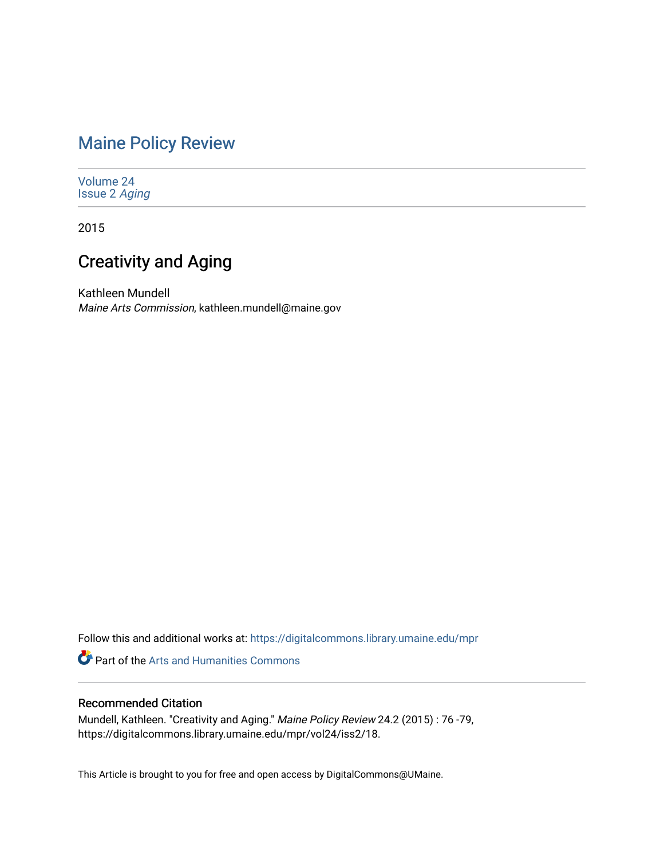## [Maine Policy Review](https://digitalcommons.library.umaine.edu/mpr)

[Volume 24](https://digitalcommons.library.umaine.edu/mpr/vol24) [Issue 2](https://digitalcommons.library.umaine.edu/mpr/vol24/iss2) Aging

2015

# Creativity and Aging

Kathleen Mundell Maine Arts Commission, kathleen.mundell@maine.gov

Follow this and additional works at: [https://digitalcommons.library.umaine.edu/mpr](https://digitalcommons.library.umaine.edu/mpr?utm_source=digitalcommons.library.umaine.edu%2Fmpr%2Fvol24%2Fiss2%2F18&utm_medium=PDF&utm_campaign=PDFCoverPages)

Part of the [Arts and Humanities Commons](https://network.bepress.com/hgg/discipline/438?utm_source=digitalcommons.library.umaine.edu%2Fmpr%2Fvol24%2Fiss2%2F18&utm_medium=PDF&utm_campaign=PDFCoverPages) 

## Recommended Citation

Mundell, Kathleen. "Creativity and Aging." Maine Policy Review 24.2 (2015) : 76 -79, https://digitalcommons.library.umaine.edu/mpr/vol24/iss2/18.

This Article is brought to you for free and open access by DigitalCommons@UMaine.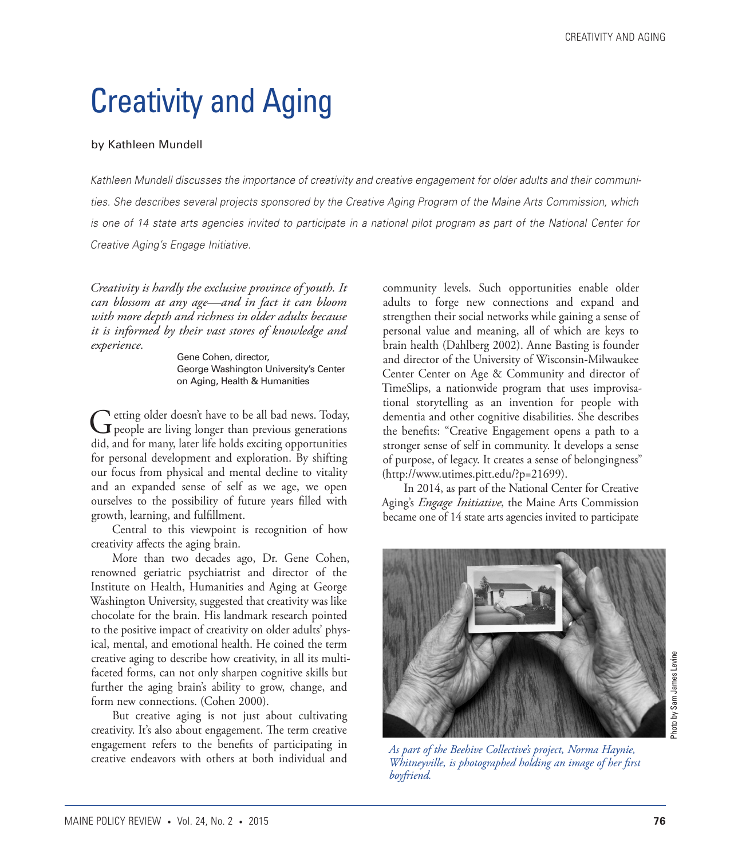# Creativity and Aging

#### by Kathleen Mundell

*Kathleen Mundell discusses the importance of creativity and creative engagement for older adults and their communities. She describes several projects sponsored by the Creative Aging Program of the Maine Arts Commission, which is one of 14 state arts agencies invited to participate in a national pilot program as part of the National Center for Creative Aging's Engage Initiative.*

*Creativity is hardly the exclusive province of youth. It can blossom at any age—and in fact it can bloom with more depth and richness in older adults because it is informed by their vast stores of knowledge and experience.*

> Gene Cohen, director, George Washington University's Center on Aging, Health & Humanities

Getting older doesn't have to be all bad news. Today,<br>
people are living longer than previous generations did, and for many, later life holds exciting opportunities for personal development and exploration. By shifting our focus from physical and mental decline to vitality and an expanded sense of self as we age, we open ourselves to the possibility of future years filled with growth, learning, and fulfillment.

Central to this viewpoint is recognition of how creativity affects the aging brain.

More than two decades ago, Dr. Gene Cohen, renowned geriatric psychiatrist and director of the Institute on Health, Humanities and Aging at George Washington University, suggested that creativity was like chocolate for the brain. His landmark research pointed to the positive impact of creativity on older adults' physical, mental, and emotional health. He coined the term creative aging to describe how creativity, in all its multifaceted forms, can not only sharpen cognitive skills but further the aging brain's ability to grow, change, and form new connections. (Cohen 2000).

But creative aging is not just about cultivating creativity. It's also about engagement. The term creative engagement refers to the benefits of participating in creative endeavors with others at both individual and

community levels. Such opportunities enable older adults to forge new connections and expand and strengthen their social networks while gaining a sense of personal value and meaning, all of which are keys to brain health (Dahlberg 2002). Anne Basting is founder and director of the University of Wisconsin-Milwaukee Center Center on Age & Community and director of TimeSlips, a nationwide program that uses improvisational storytelling as an invention for people with dementia and other cognitive disabilities. She describes the benefits: "Creative Engagement opens a path to a stronger sense of self in community. It develops a sense of purpose, of legacy. It creates a sense of belongingness" (http://www.utimes.pitt.edu/?p=21699).

In 2014, as part of the National Center for Creative Aging's *Engage Initiative*, the Maine Arts Commission became one of 14 state arts agencies invited to participate



*As part of the Beehive Collective's project, Norma Haynie, Whitneyville, is photographed holding an image of her first boyfriend.*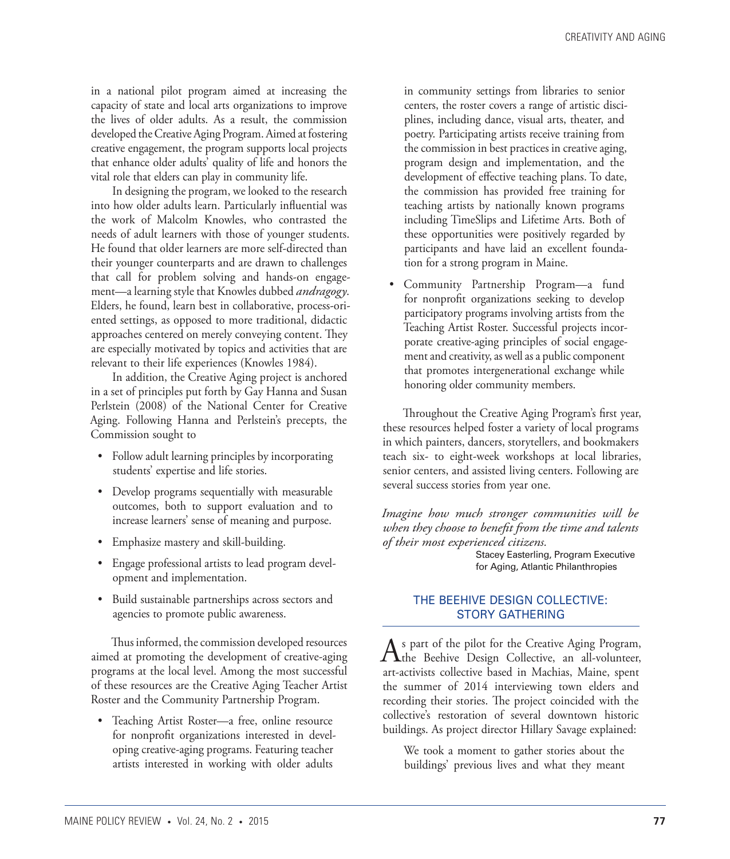in a national pilot program aimed at increasing the capacity of state and local arts organizations to improve the lives of older adults. As a result, the commission developed the Creative Aging Program. Aimed at fostering creative engagement, the program supports local projects that enhance older adults' quality of life and honors the vital role that elders can play in community life.

In designing the program, we looked to the research into how older adults learn. Particularly influential was the work of Malcolm Knowles, who contrasted the needs of adult learners with those of younger students. He found that older learners are more self-directed than their younger counterparts and are drawn to challenges that call for problem solving and hands-on engagement—a learning style that Knowles dubbed *andragogy*. Elders, he found, learn best in collaborative, process-oriented settings, as opposed to more traditional, didactic approaches centered on merely conveying content. They are especially motivated by topics and activities that are relevant to their life experiences (Knowles 1984).

In addition, the Creative Aging project is anchored in a set of principles put forth by Gay Hanna and Susan Perlstein (2008) of the National Center for Creative Aging. Following Hanna and Perlstein's precepts, the Commission sought to

- Follow adult learning principles by incorporating students' expertise and life stories.
- • Develop programs sequentially with measurable outcomes, both to support evaluation and to increase learners' sense of meaning and purpose.
- • Emphasize mastery and skill-building.
- • Engage professional artists to lead program development and implementation.
- • Build sustainable partnerships across sectors and agencies to promote public awareness.

Thus informed, the commission developed resources aimed at promoting the development of creative-aging programs at the local level. Among the most successful of these resources are the Creative Aging Teacher Artist Roster and the Community Partnership Program.

• Teaching Artist Roster—a free, online resource for nonprofit organizations interested in developing creative-aging programs. Featuring teacher artists interested in working with older adults

in community settings from libraries to senior centers, the roster covers a range of artistic disciplines, including dance, visual arts, theater, and poetry. Participating artists receive training from the commission in best practices in creative aging, program design and implementation, and the development of effective teaching plans. To date, the commission has provided free training for teaching artists by nationally known programs including TimeSlips and Lifetime Arts. Both of these opportunities were positively regarded by participants and have laid an excellent foundation for a strong program in Maine.

• Community Partnership Program—a fund for nonprofit organizations seeking to develop participatory programs involving artists from the Teaching Artist Roster. Successful projects incorporate creative-aging principles of social engagement and creativity, as well as a public component that promotes intergenerational exchange while honoring older community members.

Throughout the Creative Aging Program's first year, these resources helped foster a variety of local programs in which painters, dancers, storytellers, and bookmakers teach six- to eight-week workshops at local libraries, senior centers, and assisted living centers. Following are several success stories from year one.

*Imagine how much stronger communities will be when they choose to benefit from the time and talents of their most experienced citizens.*

Stacey Easterling, Program Executive for Aging, Atlantic Philanthropies

### THE BEEHIVE DESIGN COLLECTIVE: STORY GATHERING

As part of the pilot for the Creative Aging Program,<br>
the Beehive Design Collective, an all-volunteer, art-activists collective based in Machias, Maine, spent the summer of 2014 interviewing town elders and recording their stories. The project coincided with the collective's restoration of several downtown historic buildings. As project director Hillary Savage explained:

We took a moment to gather stories about the buildings' previous lives and what they meant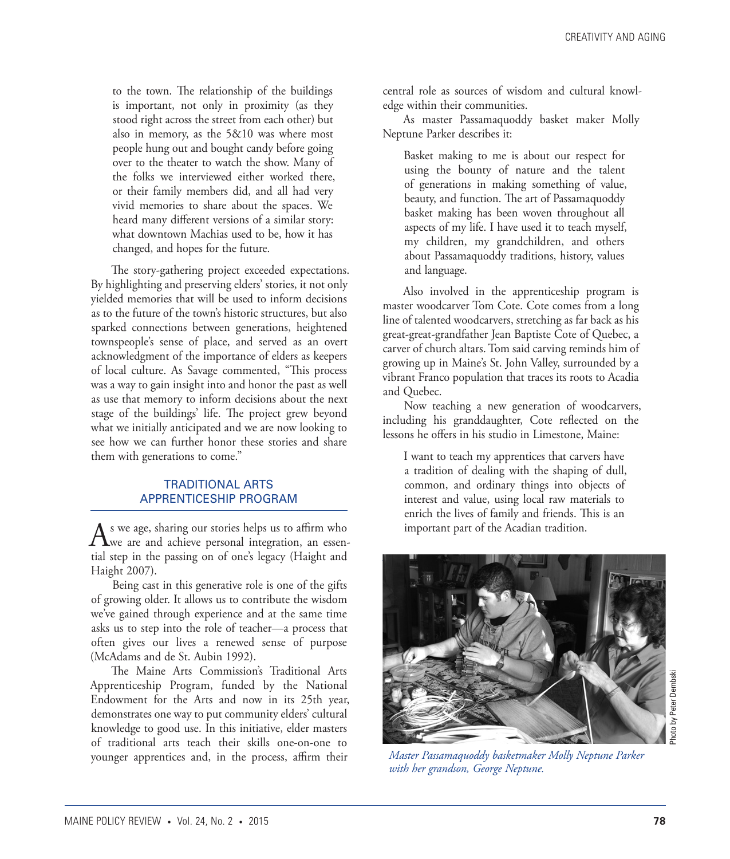to the town. The relationship of the buildings is important, not only in proximity (as they stood right across the street from each other) but also in memory, as the 5&10 was where most people hung out and bought candy before going over to the theater to watch the show. Many of the folks we interviewed either worked there, or their family members did, and all had very vivid memories to share about the spaces. We heard many different versions of a similar story: what downtown Machias used to be, how it has changed, and hopes for the future.

The story-gathering project exceeded expectations. By highlighting and preserving elders' stories, it not only yielded memories that will be used to inform decisions as to the future of the town's historic structures, but also sparked connections between generations, heightened townspeople's sense of place, and served as an overt acknowledgment of the importance of elders as keepers of local culture. As Savage commented, "This process was a way to gain insight into and honor the past as well as use that memory to inform decisions about the next stage of the buildings' life. The project grew beyond what we initially anticipated and we are now looking to see how we can further honor these stories and share them with generations to come."

#### TRADITIONAL ARTS APPRENTICESHIP PROGRAM

 $A$ s we age, sharing our stories helps us to affirm who we are and achieve personal integration, an essential step in the passing on of one's legacy (Haight and Haight 2007).

Being cast in this generative role is one of the gifts of growing older. It allows us to contribute the wisdom we've gained through experience and at the same time asks us to step into the role of teacher—a process that often gives our lives a renewed sense of purpose (McAdams and de St. Aubin 1992).

The Maine Arts Commission's Traditional Arts Apprenticeship Program, funded by the National Endowment for the Arts and now in its 25th year, demonstrates one way to put community elders' cultural knowledge to good use. In this initiative, elder masters of traditional arts teach their skills one-on-one to younger apprentices and, in the process, affirm their

central role as sources of wisdom and cultural knowledge within their communities.

As master Passamaquoddy basket maker Molly Neptune Parker describes it:

Basket making to me is about our respect for using the bounty of nature and the talent of generations in making something of value, beauty, and function. The art of Passamaquoddy basket making has been woven throughout all aspects of my life. I have used it to teach myself, my children, my grandchildren, and others about Passamaquoddy traditions, history, values and language.

Also involved in the apprenticeship program is master woodcarver Tom Cote. Cote comes from a long line of talented woodcarvers, stretching as far back as his great-great-grandfather Jean Baptiste Cote of Quebec, a carver of church altars. Tom said carving reminds him of growing up in Maine's St. John Valley, surrounded by a vibrant Franco population that traces its roots to Acadia and Quebec.

Now teaching a new generation of woodcarvers, including his granddaughter, Cote reflected on the lessons he offers in his studio in Limestone, Maine:

I want to teach my apprentices that carvers have a tradition of dealing with the shaping of dull, common, and ordinary things into objects of interest and value, using local raw materials to enrich the lives of family and friends. This is an important part of the Acadian tradition.



*Master Passamaquoddy basketmaker Molly Neptune Parker with her grandson, George Neptune.*